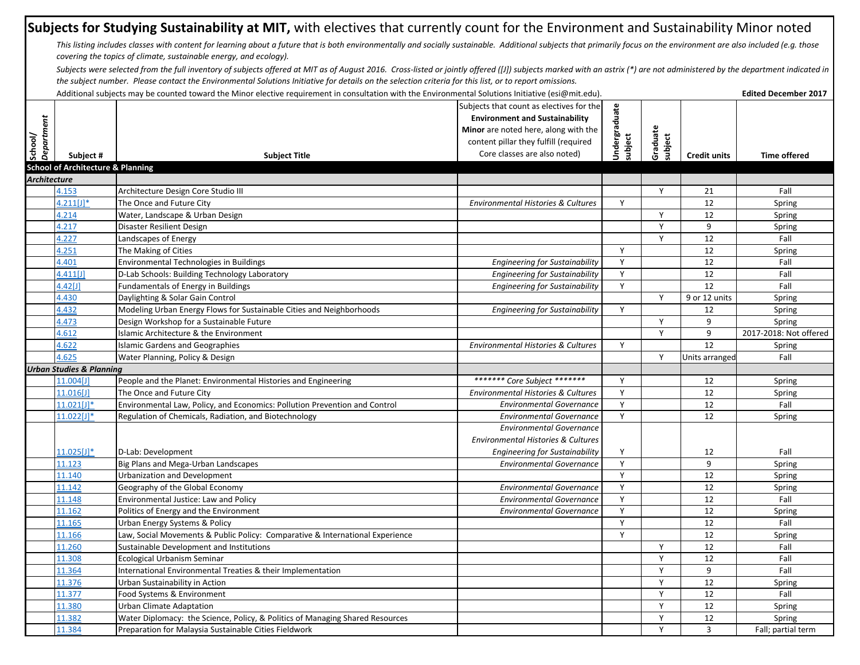## **Subjects for Studying Sustainability at MIT,** with electives that currently count for the Environment and Sustainability Minor noted

This listing includes classes with content for learning about a future that is both environmentally and socially sustainable. Additional subjects that primarily focus on the environment are also included (e.g. those *covering the topics of climate, sustainable energy, and ecology).*

Subjects were selected from the full inventory of subjects offered at MIT as of August 2016. Cross-listed or jointly offered ([I]) subjects marked with an astrix (\*) are not administered by the department indicated in *the subject number. Please contact the Environmental Solutions Initiative for details on the selection criteria for this list, or to report omissions.* 

|                       | Additional subjects may be counted toward the Minor elective requirement in consultation with the Environmental Solutions Initiative (esi@mit.edu). |                                                                               |                                               |               |              |                     |                        |
|-----------------------|-----------------------------------------------------------------------------------------------------------------------------------------------------|-------------------------------------------------------------------------------|-----------------------------------------------|---------------|--------------|---------------------|------------------------|
|                       |                                                                                                                                                     |                                                                               | Subjects that count as electives for the      | Undergraduate |              |                     |                        |
|                       |                                                                                                                                                     |                                                                               | <b>Environment and Sustainability</b>         |               |              |                     |                        |
|                       |                                                                                                                                                     |                                                                               | Minor are noted here, along with the          |               | Graduate     |                     |                        |
|                       |                                                                                                                                                     |                                                                               | content pillar they fulfill (required         |               | subject      |                     |                        |
| School/<br>Department | Subject #                                                                                                                                           | <b>Subject Title</b>                                                          | Core classes are also noted)                  | subject       |              | <b>Credit units</b> | <b>Time offered</b>    |
|                       | <b>School of Architecture &amp; Planning</b>                                                                                                        |                                                                               |                                               |               |              |                     |                        |
| <b>Architecture</b>   |                                                                                                                                                     |                                                                               |                                               |               |              |                     |                        |
|                       | 4.153                                                                                                                                               | Architecture Design Core Studio III                                           |                                               |               | Y            | 21                  | Fall                   |
|                       | $4.211[J]$ *                                                                                                                                        | The Once and Future City                                                      | Environmental Histories & Cultures            | Y             |              | 12                  | Spring                 |
|                       | 4.214                                                                                                                                               | Water, Landscape & Urban Design                                               |                                               |               | Y            | 12                  | Spring                 |
|                       | 4.217                                                                                                                                               | Disaster Resilient Design                                                     |                                               |               | Y            | 9                   | Spring                 |
|                       | 4.227                                                                                                                                               | Landscapes of Energy                                                          |                                               |               | Y            | 12                  | Fall                   |
|                       | 4.251                                                                                                                                               | The Making of Cities                                                          |                                               | $\mathsf{Y}$  |              | 12                  | Spring                 |
|                       | 1.401                                                                                                                                               | Environmental Technologies in Buildings                                       | <b>Engineering for Sustainability</b>         | Y             |              | 12                  | Fall                   |
|                       | 4.411[J]                                                                                                                                            | D-Lab Schools: Building Technology Laboratory                                 | <b>Engineering for Sustainability</b>         | Y             |              | 12                  | Fall                   |
|                       | 1.42[J]                                                                                                                                             | <b>Fundamentals of Energy in Buildings</b>                                    | <b>Engineering for Sustainability</b>         | Y             |              | 12                  | Fall                   |
|                       | 4.430                                                                                                                                               | Daylighting & Solar Gain Control                                              |                                               |               | Y            | 9 or 12 units       | Spring                 |
|                       | 4.432                                                                                                                                               | Modeling Urban Energy Flows for Sustainable Cities and Neighborhoods          | <b>Engineering for Sustainability</b>         | Y             |              | 12                  | Spring                 |
|                       | 4.473                                                                                                                                               | Design Workshop for a Sustainable Future                                      |                                               |               | Y            | 9                   | Spring                 |
|                       | 4.612                                                                                                                                               | Islamic Architecture & the Environment                                        |                                               |               | Y            | 9                   | 2017-2018: Not offered |
|                       | 4.622                                                                                                                                               | <b>Islamic Gardens and Geographies</b>                                        | <b>Environmental Histories &amp; Cultures</b> | Y             |              | $\overline{12}$     | Spring                 |
|                       | 4.625                                                                                                                                               | Water Planning, Policy & Design                                               |                                               |               | Y            | Units arranged      | Fall                   |
|                       | <b>Urban Studies &amp; Planning</b>                                                                                                                 |                                                                               |                                               |               |              |                     |                        |
|                       | 11.004[J]                                                                                                                                           | People and the Planet: Environmental Histories and Engineering                | ******* Core Subject *******                  | Y             |              | 12                  | Spring                 |
|                       | 11.016[J]                                                                                                                                           | The Once and Future City                                                      | <b>Environmental Histories &amp; Cultures</b> | Y             |              | 12                  | Spring                 |
|                       | $11.021$ [J]*                                                                                                                                       | Environmental Law, Policy, and Economics: Pollution Prevention and Control    | <b>Environmental Governance</b>               | Y             |              | 12                  | Fall                   |
|                       | 11.022[J]*                                                                                                                                          | Regulation of Chemicals, Radiation, and Biotechnology                         | <b>Environmental Governance</b>               | Y             |              | 12                  | Spring                 |
|                       |                                                                                                                                                     |                                                                               | <b>Environmental Governance</b>               |               |              |                     |                        |
|                       |                                                                                                                                                     |                                                                               | Environmental Histories & Cultures            |               |              |                     |                        |
|                       | $11.025[J]$ *                                                                                                                                       | D-Lab: Development                                                            | <b>Engineering for Sustainability</b>         | Y             |              | 12                  | Fall                   |
|                       | 11.123                                                                                                                                              | Big Plans and Mega-Urban Landscapes                                           | <b>Environmental Governance</b>               | Y             |              | 9                   | Spring                 |
|                       | 11.140                                                                                                                                              | <b>Urbanization and Development</b>                                           |                                               | Y             |              | 12                  | Spring                 |
|                       | 11.142                                                                                                                                              | Geography of the Global Economy                                               | <b>Environmental Governance</b>               | Y             |              | 12                  | Spring                 |
|                       | 1.148                                                                                                                                               | Environmental Justice: Law and Policy                                         | <b>Environmental Governance</b>               | Y             |              | 12                  | Fall                   |
|                       | 11.162                                                                                                                                              | Politics of Energy and the Environment                                        | <b>Environmental Governance</b>               | Y             |              | 12                  | Spring                 |
|                       | 1.165                                                                                                                                               | <b>Urban Energy Systems &amp; Policy</b>                                      |                                               | Y             |              | 12                  | Fall                   |
|                       | 11.166                                                                                                                                              | Law, Social Movements & Public Policy: Comparative & International Experience |                                               | Y             |              | 12                  | Spring                 |
|                       | 11.260                                                                                                                                              | Sustainable Development and Institutions                                      |                                               |               | Y            | 12                  | Fall                   |
|                       | 11.308                                                                                                                                              | Ecological Urbanism Seminar                                                   |                                               |               | $\mathsf{Y}$ | 12                  | Fall                   |
|                       | 1.364                                                                                                                                               | International Environmental Treaties & their Implementation                   |                                               |               | Y            | 9                   | Fall                   |
|                       | 11.376                                                                                                                                              | Urban Sustainability in Action                                                |                                               |               | Y            | 12                  | Spring                 |
|                       | 11.377                                                                                                                                              | Food Systems & Environment                                                    |                                               |               | Y            | 12                  | Fall                   |
|                       | 11.380                                                                                                                                              | <b>Urban Climate Adaptation</b>                                               |                                               |               | Y            | 12                  | Spring                 |
|                       | 11.382                                                                                                                                              | Water Diplomacy: the Science, Policy, & Politics of Managing Shared Resources |                                               |               | Υ            | 12                  | Spring                 |
|                       | 11.384                                                                                                                                              | Preparation for Malaysia Sustainable Cities Fieldwork                         |                                               |               | Y            | $\overline{3}$      | Fall; partial term     |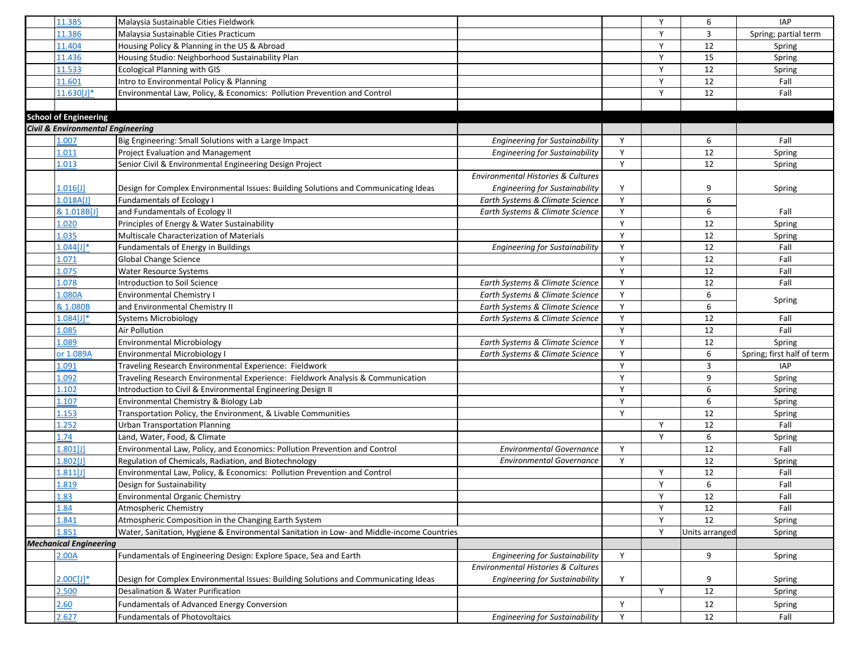| 11.385                                       | Malaysia Sustainable Cities Fieldwork                                                     |                                               |   | Y | 6              | <b>IAP</b>                 |
|----------------------------------------------|-------------------------------------------------------------------------------------------|-----------------------------------------------|---|---|----------------|----------------------------|
| 11.386                                       | Malaysia Sustainable Cities Practicum                                                     |                                               |   | Y | $\overline{3}$ | Spring; partial term       |
| 11.404                                       | Housing Policy & Planning in the US & Abroad                                              |                                               |   | Y | 12             | Spring                     |
| 11.436                                       | Housing Studio: Neighborhood Sustainability Plan                                          |                                               |   | Y | 15             | Spring                     |
| 11.533                                       | <b>Ecological Planning with GIS</b>                                                       |                                               |   | Y | 12             | Spring                     |
| 11.601                                       | Intro to Environmental Policy & Planning                                                  |                                               |   | Y | 12             | Fall                       |
| $11.630[J]$ *                                | Environmental Law, Policy, & Economics: Pollution Prevention and Control                  |                                               |   | Y | 12             | Fall                       |
|                                              |                                                                                           |                                               |   |   |                |                            |
| <b>School of Engineering</b>                 |                                                                                           |                                               |   |   |                |                            |
| <b>Civil &amp; Environmental Engineering</b> |                                                                                           |                                               |   |   |                |                            |
| 1.007                                        | Big Engineering: Small Solutions with a Large Impact                                      | <b>Engineering for Sustainability</b>         | Y |   | 6              | Fall                       |
| 1.011                                        | Project Evaluation and Management                                                         | <b>Engineering for Sustainability</b>         | Y |   | 12             | Spring                     |
| 1.013                                        | Senior Civil & Environmental Engineering Design Project                                   |                                               | Y |   | 12             | Spring                     |
|                                              |                                                                                           | <b>Environmental Histories &amp; Cultures</b> |   |   |                |                            |
| $1.016$ [J]                                  | Design for Complex Environmental Issues: Building Solutions and Communicating Ideas       | <b>Engineering for Sustainability</b>         | Y |   | 9              | Spring                     |
| 1.018A[J]                                    | Fundamentals of Ecology I                                                                 | Earth Systems & Climate Science               | Y |   | 6              |                            |
| & 1.018B[J]                                  | and Fundamentals of Ecology II                                                            | Earth Systems & Climate Science               | Y |   | 6              | Fall                       |
| 1.020                                        | Principles of Energy & Water Sustainability                                               |                                               | Y |   | 12             | Spring                     |
| 1.035                                        | Multiscale Characterization of Materials                                                  |                                               | Y |   | 12             | Spring                     |
| $.044$ [J]*                                  | Fundamentals of Energy in Buildings                                                       | <b>Engineering for Sustainability</b>         | Y |   | 12             | Fall                       |
| L.071                                        | Global Change Science                                                                     |                                               | Y |   | 12             | Fall                       |
| 1.075                                        | <b>Water Resource Systems</b>                                                             |                                               | Y |   | 12             | Fall                       |
| 1.078                                        | Introduction to Soil Science                                                              | Earth Systems & Climate Science               | Y |   | 12             | Fall                       |
| 1.080A                                       | <b>Environmental Chemistry I</b>                                                          | Earth Systems & Climate Science               | Y |   | 6              |                            |
| & 1.080B                                     | and Environmental Chemistry II                                                            | Earth Systems & Climate Science               | Y |   | 6              | Spring                     |
| $1.084[J]$ *                                 | <b>Systems Microbiology</b>                                                               | Earth Systems & Climate Science               | Y |   | 12             | Fall                       |
| 1.085                                        | Air Pollution                                                                             |                                               | Y |   | 12             | Fall                       |
| 1.089                                        | <b>Environmental Microbiology</b>                                                         | Earth Systems & Climate Science               | Y |   | 12             | Spring                     |
| or 1.089A                                    | <b>Environmental Microbiology I</b>                                                       | Earth Systems & Climate Science               | Y |   | 6              | Spring; first half of term |
| L.091                                        | Traveling Research Environmental Experience: Fieldwork                                    |                                               | Y |   | 3              | <b>IAP</b>                 |
| 1.092                                        | Traveling Research Environmental Experience: Fieldwork Analysis & Communication           |                                               | Y |   | 9              | Spring                     |
| 1.102                                        | Introduction to Civil & Environmental Engineering Design II                               |                                               | Y |   | 6              | Spring                     |
| 1.107                                        | Environmental Chemistry & Biology Lab                                                     |                                               | Y |   | 6              | Spring                     |
| 1.153                                        | Transportation Policy, the Environment, & Livable Communities                             |                                               | Y |   | 12             | Spring                     |
| 1.252                                        | <b>Urban Transportation Planning</b>                                                      |                                               |   | Y | 12             | Fall                       |
| 1.74                                         | Land, Water, Food, & Climate                                                              |                                               |   | Y | 6              | Spring                     |
| $.801$ [J]                                   | Environmental Law, Policy, and Economics: Pollution Prevention and Control                | <b>Environmental Governance</b>               | Y |   | 12             | Fall                       |
| $.802$ [J]                                   | Regulation of Chemicals, Radiation, and Biotechnology                                     | <b>Environmental Governance</b>               | Y |   | 12             | Spring                     |
| 1.811[J]                                     | Environmental Law, Policy, & Economics: Pollution Prevention and Control                  |                                               |   | Y | 12             | Fall                       |
| 1.819                                        | Design for Sustainability                                                                 |                                               |   | Y | 6              | Fall                       |
| 1.83                                         | <b>Environmental Organic Chemistry</b>                                                    |                                               |   | Y | 12             | Fall                       |
| 1.84                                         | Atmospheric Chemistry                                                                     |                                               |   | Y | 12             | Fall                       |
| 1.841                                        | Atmospheric Composition in the Changing Earth System                                      |                                               |   | Y | 12             | Spring                     |
| 1.851                                        | Water, Sanitation, Hygiene & Environmental Sanitation in Low- and Middle-income Countries |                                               |   | Y | Units arranged | Spring                     |
| <b>Mechanical Engineering</b>                |                                                                                           |                                               |   |   |                |                            |
| 2.00A                                        | Fundamentals of Engineering Design: Explore Space, Sea and Earth                          | <b>Engineering for Sustainability</b>         | Y |   | 9              | Spring                     |
|                                              |                                                                                           | Environmental Histories & Cultures            |   |   |                |                            |
| 2.00C[J]*                                    | Design for Complex Environmental Issues: Building Solutions and Communicating Ideas       | <b>Engineering for Sustainability</b>         | Y |   | 9              | Spring                     |
| 2.500                                        | Desalination & Water Purification                                                         |                                               |   | Y | $12\,$         | Spring                     |
| 2.60                                         | Fundamentals of Advanced Energy Conversion                                                |                                               | Y |   | 12             | Spring                     |
| 2.627                                        | <b>Fundamentals of Photovoltaics</b>                                                      | <b>Engineering for Sustainability</b>         | Y |   | 12             | Fall                       |
|                                              |                                                                                           |                                               |   |   |                |                            |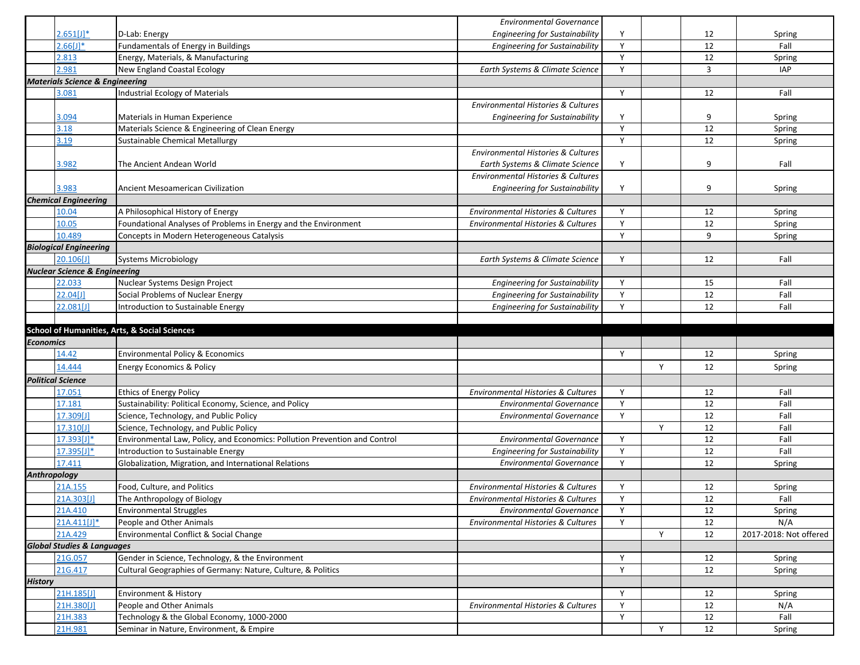|                  |                                            |                                                                                                                  | <b>Environmental Governance</b>                                       |   |   |                |                        |
|------------------|--------------------------------------------|------------------------------------------------------------------------------------------------------------------|-----------------------------------------------------------------------|---|---|----------------|------------------------|
|                  | $2.651[J]$ *                               | D-Lab: Energy                                                                                                    | <b>Engineering for Sustainability</b>                                 | Υ |   | 12             | Spring                 |
|                  | 2.66[J]                                    | Fundamentals of Energy in Buildings                                                                              | <b>Engineering for Sustainability</b>                                 | Y |   | 12             | Fall                   |
|                  | 2.813                                      | Energy, Materials, & Manufacturing                                                                               |                                                                       | Y |   | 12             | Spring                 |
|                  | 2.981                                      | New England Coastal Ecology                                                                                      | Earth Systems & Climate Science                                       | Y |   | $\overline{3}$ | <b>IAP</b>             |
|                  | <b>Materials Science &amp; Engineering</b> |                                                                                                                  |                                                                       |   |   |                |                        |
|                  | 3.081                                      | Industrial Ecology of Materials                                                                                  |                                                                       | Y |   | 12             | Fall                   |
|                  |                                            |                                                                                                                  | Environmental Histories & Cultures                                    |   |   |                |                        |
|                  | 3.094                                      | Materials in Human Experience                                                                                    | <b>Engineering for Sustainability</b>                                 | Y |   | 9              | Spring                 |
|                  | 3.18                                       | Materials Science & Engineering of Clean Energy                                                                  |                                                                       | Y |   | 12             | Spring                 |
|                  | 3.19                                       | Sustainable Chemical Metallurgy                                                                                  |                                                                       | Y |   | 12             | Spring                 |
|                  |                                            |                                                                                                                  | Environmental Histories & Cultures                                    |   |   |                |                        |
|                  | 3.982                                      | The Ancient Andean World                                                                                         | Earth Systems & Climate Science                                       | Y |   | 9              | Fall                   |
|                  |                                            |                                                                                                                  | Environmental Histories & Cultures                                    |   |   |                |                        |
|                  | 3.983                                      | Ancient Mesoamerican Civilization                                                                                | <b>Engineering for Sustainability</b>                                 | Y |   | 9              | Spring                 |
|                  | <b>Chemical Engineering</b>                |                                                                                                                  |                                                                       |   |   |                |                        |
|                  | 10.04                                      | A Philosophical History of Energy                                                                                | <b>Environmental Histories &amp; Cultures</b>                         | Y |   | 12             | Spring                 |
|                  | 10.05                                      | Foundational Analyses of Problems in Energy and the Environment                                                  | <b>Environmental Histories &amp; Cultures</b>                         | Y |   | 12             | Spring                 |
|                  | 10.489                                     | Concepts in Modern Heterogeneous Catalysis                                                                       |                                                                       | Y |   | 9              | Spring                 |
|                  | <b>Biological Engineering</b>              |                                                                                                                  |                                                                       |   |   |                |                        |
|                  | 20.106[J]                                  | <b>Systems Microbiology</b>                                                                                      | Earth Systems & Climate Science                                       | Y |   | 12             | Fall                   |
|                  | <b>Nuclear Science &amp; Engineering</b>   |                                                                                                                  |                                                                       |   |   |                |                        |
|                  | 22.033                                     | Nuclear Systems Design Project                                                                                   | <b>Engineering for Sustainability</b>                                 | Y |   | 15             | Fall                   |
|                  | 22.04[J]                                   | Social Problems of Nuclear Energy                                                                                | <b>Engineering for Sustainability</b>                                 | Y |   | 12             | Fall                   |
|                  | 22.081[J]                                  | Introduction to Sustainable Energy                                                                               | <b>Engineering for Sustainability</b>                                 | Y |   | 12             | Fall                   |
|                  |                                            |                                                                                                                  |                                                                       |   |   |                |                        |
|                  |                                            |                                                                                                                  |                                                                       |   |   |                |                        |
|                  |                                            |                                                                                                                  |                                                                       |   |   |                |                        |
| <b>Economics</b> |                                            | <b>School of Humanities, Arts, &amp; Social Sciences</b>                                                         |                                                                       |   |   |                |                        |
|                  | 14.42                                      | <b>Environmental Policy &amp; Economics</b>                                                                      |                                                                       | Y |   | 12             | Spring                 |
|                  |                                            | <b>Energy Economics &amp; Policy</b>                                                                             |                                                                       |   | Y | 12             |                        |
|                  | 14.444                                     |                                                                                                                  |                                                                       |   |   |                | Spring                 |
|                  | <b>Political Science</b>                   |                                                                                                                  |                                                                       | Y |   |                |                        |
|                  | 17.051                                     | <b>Ethics of Energy Policy</b>                                                                                   | Environmental Histories & Cultures<br><b>Environmental Governance</b> | Y |   | 12<br>12       | Fall<br>Fall           |
|                  | 17.181                                     | Sustainability: Political Economy, Science, and Policy                                                           | <b>Environmental Governance</b>                                       | Y |   | 12             | Fall                   |
|                  | 17.309[J]                                  | Science, Technology, and Public Policy                                                                           |                                                                       |   | Y | 12             | Fall                   |
|                  | 17.310[J]                                  | Science, Technology, and Public Policy                                                                           | <b>Environmental Governance</b>                                       | Y |   | 12             | Fall                   |
|                  | $17.393[J]$ *<br>17.395[J]*                | Environmental Law, Policy, and Economics: Pollution Prevention and Control<br>Introduction to Sustainable Energy | Engineering for Sustainability                                        | Y |   | 12             | Fall                   |
|                  | 17.411                                     |                                                                                                                  | <b>Environmental Governance</b>                                       | Y |   | 12             |                        |
| Anthropology     |                                            | Globalization, Migration, and International Relations                                                            |                                                                       |   |   |                | Spring                 |
|                  | 21A.155                                    | Food, Culture, and Politics                                                                                      | Environmental Histories & Cultures                                    | Y |   | 12             | Spring                 |
|                  | 21A.303[J]                                 | The Anthropology of Biology                                                                                      | <b>Environmental Histories &amp; Cultures</b>                         | Y |   | 12             | Fall                   |
|                  | 21A.410                                    | <b>Environmental Struggles</b>                                                                                   | <b>Environmental Governance</b>                                       | Y |   | 12             |                        |
|                  | $21A.411[J]$ *                             | People and Other Animals                                                                                         | Environmental Histories & Cultures                                    | Y |   | 12             | Spring<br>N/A          |
|                  |                                            | Environmental Conflict & Social Change                                                                           |                                                                       |   | Y | 12             |                        |
|                  | 21A.429                                    |                                                                                                                  |                                                                       |   |   |                | 2017-2018: Not offered |
|                  | <b>Global Studies &amp; Languages</b>      |                                                                                                                  |                                                                       | Y |   |                |                        |
|                  | 21G.057<br>21G.417                         | Gender in Science, Technology, & the Environment<br>Cultural Geographies of Germany: Nature, Culture, & Politics |                                                                       | Y |   | 12<br>12       | Spring<br>Spring       |
|                  |                                            |                                                                                                                  |                                                                       |   |   |                |                        |
| <b>History</b>   |                                            | <b>Environment &amp; History</b>                                                                                 |                                                                       | Y |   | 12             | Spring                 |
|                  | 21H.185[J]<br>21H.380[J]                   | People and Other Animals                                                                                         | Environmental Histories & Cultures                                    | Y |   | 12             | N/A                    |
|                  | 21H.383                                    | Technology & the Global Economy, 1000-2000                                                                       |                                                                       | Y |   | 12             | Fall                   |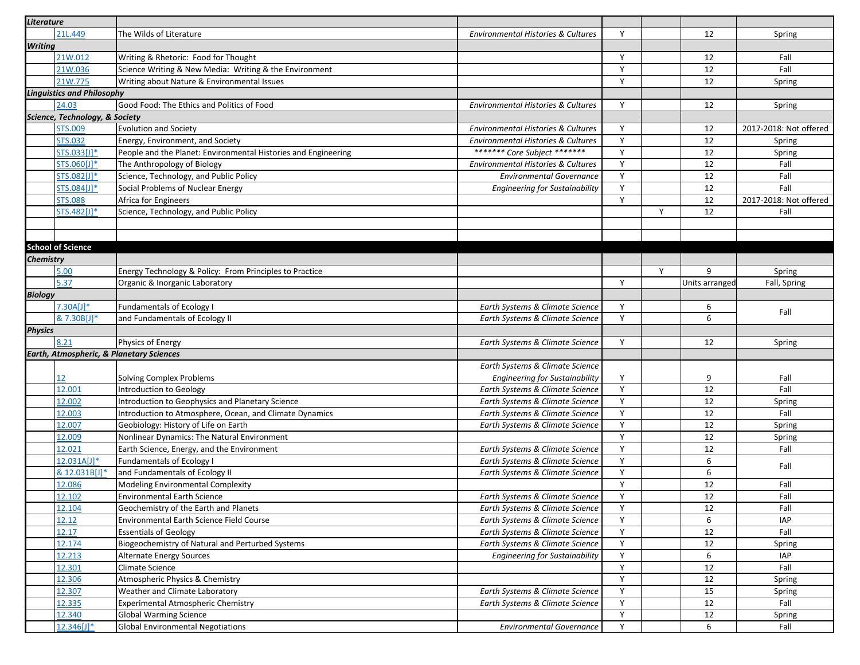| Literature       |                                   |                                                                |                                                                    |        |   |                |                        |
|------------------|-----------------------------------|----------------------------------------------------------------|--------------------------------------------------------------------|--------|---|----------------|------------------------|
|                  | 21L.449                           | The Wilds of Literature                                        | <b>Environmental Histories &amp; Cultures</b>                      | Y      |   | 12             | Spring                 |
| <b>Writing</b>   |                                   |                                                                |                                                                    |        |   |                |                        |
|                  | 21W.012                           | Writing & Rhetoric: Food for Thought                           |                                                                    | Y      |   | 12             | Fall                   |
|                  | 21W.036                           | Science Writing & New Media: Writing & the Environment         |                                                                    | Y      |   | 12             | Fall                   |
|                  | 21W.775                           | Writing about Nature & Environmental Issues                    |                                                                    | Y      |   | 12             | Spring                 |
|                  | <b>Linguistics and Philosophy</b> |                                                                |                                                                    |        |   |                |                        |
|                  | 24.03                             | Good Food: The Ethics and Politics of Food                     | Environmental Histories & Cultures                                 | Y      |   | 12             | Spring                 |
|                  | Science, Technology, & Society    |                                                                |                                                                    |        |   |                |                        |
|                  | <b>STS.009</b>                    | <b>Evolution and Society</b>                                   | Environmental Histories & Cultures                                 | Y      |   | 12             | 2017-2018: Not offered |
|                  | <b>STS.032</b>                    | Energy, Environment, and Society                               | Environmental Histories & Cultures                                 | Y      |   | 12             | Spring                 |
|                  | STS.033[J]*                       | People and the Planet: Environmental Histories and Engineering | ******* Core Subject *******                                       | Y      |   | 12             | Spring                 |
|                  | STS.060[J]*                       | The Anthropology of Biology                                    | <b>Environmental Histories &amp; Cultures</b>                      | Y      |   | 12             | Fall                   |
|                  | STS.082[J]*                       | Science, Technology, and Public Policy                         | <b>Environmental Governance</b>                                    | Y      |   | 12             | Fall                   |
|                  | STS.084[J]*                       | Social Problems of Nuclear Energy                              | <b>Engineering for Sustainability</b>                              | Y      |   | 12             | Fall                   |
|                  | <b>STS.088</b>                    | Africa for Engineers                                           |                                                                    | Y      |   | 12             | 2017-2018: Not offered |
|                  | STS.482[J]*                       | Science, Technology, and Public Policy                         |                                                                    |        | Y | 12             | Fall                   |
|                  |                                   |                                                                |                                                                    |        |   |                |                        |
|                  |                                   |                                                                |                                                                    |        |   |                |                        |
|                  | <b>School of Science</b>          |                                                                |                                                                    |        |   |                |                        |
| <b>Chemistry</b> |                                   |                                                                |                                                                    |        |   |                |                        |
|                  | 5.00                              | Energy Technology & Policy: From Principles to Practice        |                                                                    |        | Y | 9              | Spring                 |
|                  | 5.37                              | Organic & Inorganic Laboratory                                 |                                                                    | Y      |   | Units arranged | Fall, Spring           |
| <b>Biology</b>   |                                   |                                                                |                                                                    |        |   |                |                        |
|                  | 7.30A[J]                          | <b>Fundamentals of Ecology I</b>                               |                                                                    | Y      |   | 6              |                        |
|                  | & 7.30B[J]*                       | and Fundamentals of Ecology II                                 | Earth Systems & Climate Science<br>Earth Systems & Climate Science | Y      |   | 6              | Fall                   |
|                  |                                   |                                                                |                                                                    |        |   |                |                        |
| <b>Physics</b>   | 8.21                              |                                                                |                                                                    | Y      |   | 12             |                        |
|                  |                                   | Physics of Energy                                              | Earth Systems & Climate Science                                    |        |   |                | Spring                 |
|                  |                                   | Earth, Atmospheric, & Planetary Sciences                       |                                                                    |        |   |                |                        |
|                  |                                   |                                                                | Earth Systems & Climate Science                                    |        |   |                |                        |
|                  | 12                                | Solving Complex Problems                                       | <b>Engineering for Sustainability</b>                              | Y<br>Y |   | 9              | Fall                   |
|                  | 12.001                            | Introduction to Geology                                        | Earth Systems & Climate Science                                    | Y      |   | 12             | Fall                   |
|                  | 12.002                            | Introduction to Geophysics and Planetary Science               | Earth Systems & Climate Science                                    |        |   | 12             | Spring                 |
|                  | 12.003                            | Introduction to Atmosphere, Ocean, and Climate Dynamics        | Earth Systems & Climate Science                                    | Y      |   | 12             | Fall                   |
|                  | 12.007                            | Geobiology: History of Life on Earth                           | Earth Systems & Climate Science                                    | Y      |   | 12             | Spring                 |
|                  | 12.009                            | Nonlinear Dynamics: The Natural Environment                    |                                                                    | Y      |   | 12             | Spring                 |
|                  | 12.021                            | Earth Science, Energy, and the Environment                     | Earth Systems & Climate Science                                    | Y      |   | 12             | Fall                   |
|                  | $12.031A[J]$ *                    | <b>Fundamentals of Ecology I</b>                               | Earth Systems & Climate Science                                    | Y      |   | 6              | Fall                   |
|                  | & 12.031B[J]*                     | and Fundamentals of Ecology II                                 | Earth Systems & Climate Science                                    | Y      |   | 6              |                        |
|                  | 12.086                            | Modeling Environmental Complexity                              |                                                                    | Y      |   | 12             | Fall                   |
|                  | 12.102                            | <b>Environmental Earth Science</b>                             | Earth Systems & Climate Science                                    | Y      |   | 12             | Fall                   |
|                  | 12.104                            | Geochemistry of the Earth and Planets                          | Earth Systems & Climate Science                                    | Y      |   | 12             | Fall                   |
|                  | 12.12                             | Environmental Earth Science Field Course                       | Earth Systems & Climate Science                                    | Y      |   | 6              | <b>IAP</b>             |
|                  | 12.17                             | <b>Essentials of Geology</b>                                   | Earth Systems & Climate Science                                    | Y      |   | 12             | Fall                   |
|                  | 12.174                            | Biogeochemistry of Natural and Perturbed Systems               | Earth Systems & Climate Science                                    | Y      |   | 12             | Spring                 |
|                  | 12.213                            | <b>Alternate Energy Sources</b>                                | <b>Engineering for Sustainability</b>                              | Y      |   | 6              | IAP                    |
|                  | 12.301                            | Climate Science                                                |                                                                    | Y      |   | 12             | Fall                   |
|                  | 12.306                            | Atmospheric Physics & Chemistry                                |                                                                    | Y      |   | 12             | Spring                 |
|                  | 12.307                            | Weather and Climate Laboratory                                 | Earth Systems & Climate Science                                    | Y      |   | 15             | Spring                 |
|                  | 12.335                            | Experimental Atmospheric Chemistry                             | Earth Systems & Climate Science                                    | Y      |   | 12             | Fall                   |
|                  |                                   |                                                                |                                                                    |        |   |                |                        |
|                  | 12.340                            | <b>Global Warming Science</b>                                  |                                                                    | Y      |   | 12             | Spring                 |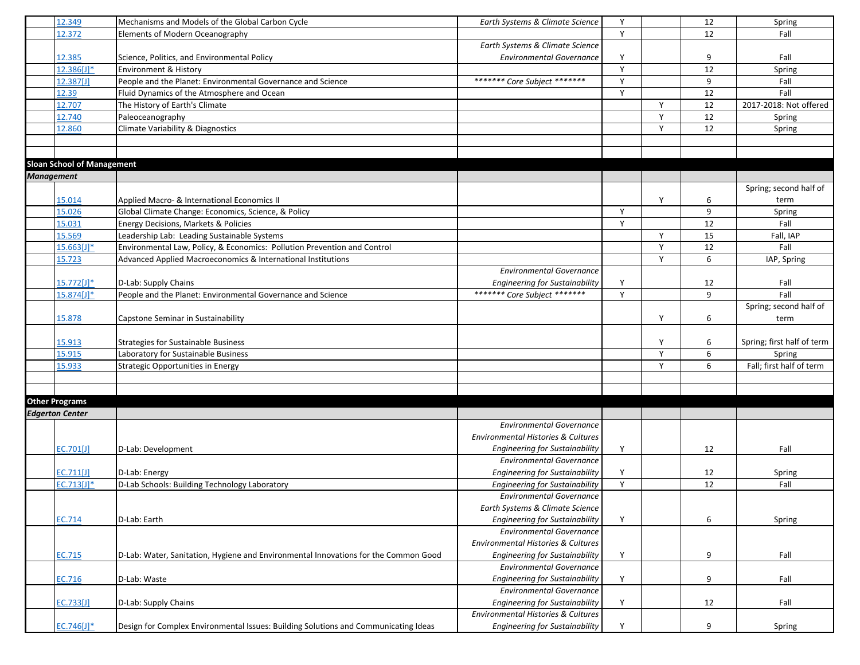|                        | 12.349                            | Mechanisms and Models of the Global Carbon Cycle                                    | Earth Systems & Climate Science               | Y |   | 12     | Spring                     |
|------------------------|-----------------------------------|-------------------------------------------------------------------------------------|-----------------------------------------------|---|---|--------|----------------------------|
|                        | 12.372                            | <b>Elements of Modern Oceanography</b>                                              |                                               | Y |   | 12     | Fall                       |
|                        |                                   |                                                                                     | Earth Systems & Climate Science               |   |   |        |                            |
|                        | 12.385                            | Science, Politics, and Environmental Policy                                         | <b>Environmental Governance</b>               | Y |   | 9      | Fall                       |
|                        | $12.386[J]$ *                     | Environment & History                                                               |                                               | Y |   | 12     | Spring                     |
|                        | 12.387[J]                         | People and the Planet: Environmental Governance and Science                         | ******* Core Subject *******                  | Y |   | 9      | Fall                       |
|                        | 12.39                             | Fluid Dynamics of the Atmosphere and Ocean                                          |                                               | Y |   | $12\,$ | Fall                       |
|                        | 12.707                            | The History of Earth's Climate                                                      |                                               |   | Y | 12     | 2017-2018: Not offered     |
|                        | 12.740                            | Paleoceanography                                                                    |                                               |   | Y | 12     | Spring                     |
|                        | 12.860                            | Climate Variability & Diagnostics                                                   |                                               |   | Y | 12     | Spring                     |
|                        |                                   |                                                                                     |                                               |   |   |        |                            |
|                        |                                   |                                                                                     |                                               |   |   |        |                            |
|                        | <b>Sloan School of Management</b> |                                                                                     |                                               |   |   |        |                            |
| <b>Management</b>      |                                   |                                                                                     |                                               |   |   |        |                            |
|                        |                                   |                                                                                     |                                               |   |   |        | Spring; second half of     |
|                        | 15.014                            | Applied Macro- & International Economics II                                         |                                               |   | Y | 6      | term                       |
|                        | 15.026                            | Global Climate Change: Economics, Science, & Policy                                 |                                               | Y |   | 9      | Spring                     |
|                        | 15.031                            | Energy Decisions, Markets & Policies                                                |                                               | Y |   | 12     | Fall                       |
|                        | 15.569                            | Leadership Lab: Leading Sustainable Systems                                         |                                               |   | Y | 15     | Fall, IAP                  |
|                        | 15.663[J]*                        | Environmental Law, Policy, & Economics: Pollution Prevention and Control            |                                               |   | Y | 12     | Fall                       |
|                        | 15.723                            | Advanced Applied Macroeconomics & International Institutions                        |                                               |   | Y | 6      | IAP, Spring                |
|                        |                                   |                                                                                     | <b>Environmental Governance</b>               |   |   |        |                            |
|                        | 15.772[J]*                        | D-Lab: Supply Chains                                                                | <b>Engineering for Sustainability</b>         | Y |   | 12     | Fall                       |
|                        | $15.874[J]$ *                     | People and the Planet: Environmental Governance and Science                         | ******* Core Subject *******                  | Y |   | 9      | Fall                       |
|                        |                                   |                                                                                     |                                               |   |   |        | Spring; second half of     |
|                        | 15.878                            | Capstone Seminar in Sustainability                                                  |                                               |   | Y | 6      | term                       |
|                        |                                   |                                                                                     |                                               |   |   |        |                            |
|                        | 15.913                            | <b>Strategies for Sustainable Business</b>                                          |                                               |   | Y | 6      | Spring; first half of term |
|                        | 15.915                            | Laboratory for Sustainable Business                                                 |                                               |   | Y | 6      | Spring                     |
|                        | 15.933                            | Strategic Opportunities in Energy                                                   |                                               |   | Y | 6      | Fall; first half of term   |
|                        |                                   |                                                                                     |                                               |   |   |        |                            |
|                        |                                   |                                                                                     |                                               |   |   |        |                            |
| <b>Other Programs</b>  |                                   |                                                                                     |                                               |   |   |        |                            |
| <b>Edgerton Center</b> |                                   |                                                                                     |                                               |   |   |        |                            |
|                        |                                   |                                                                                     | <b>Environmental Governance</b>               |   |   |        |                            |
|                        |                                   |                                                                                     | <b>Environmental Histories &amp; Cultures</b> |   |   |        |                            |
|                        | EC.701[J]                         | D-Lab: Development                                                                  | <b>Engineering for Sustainability</b>         | Y |   | 12     | Fall                       |
|                        |                                   |                                                                                     | <b>Environmental Governance</b>               |   |   |        |                            |
|                        | EC.711[J]                         | D-Lab: Energy                                                                       | <b>Engineering for Sustainability</b>         | Υ |   | 12     | Spring                     |
|                        | EC.713[J]*                        | D-Lab Schools: Building Technology Laboratory                                       | <b>Engineering for Sustainability</b>         | Y |   | 12     | Fall                       |
|                        |                                   |                                                                                     | <b>Environmental Governance</b>               |   |   |        |                            |
|                        |                                   |                                                                                     | Earth Systems & Climate Science               |   |   |        |                            |
|                        | EC.714                            | D-Lab: Earth                                                                        | <b>Engineering for Sustainability</b>         | Y |   | 6      | Spring                     |
|                        |                                   |                                                                                     | <b>Environmental Governance</b>               |   |   |        |                            |
|                        |                                   |                                                                                     | Environmental Histories & Cultures            |   |   |        |                            |
|                        | EC.715                            | D-Lab: Water, Sanitation, Hygiene and Environmental Innovations for the Common Good | <b>Engineering for Sustainability</b>         | Y |   | 9      | Fall                       |
|                        |                                   |                                                                                     | <b>Environmental Governance</b>               |   |   |        |                            |
|                        | EC.716                            | D-Lab: Waste                                                                        | <b>Engineering for Sustainability</b>         | Y |   | 9      | Fall                       |
|                        |                                   |                                                                                     | <b>Environmental Governance</b>               |   |   |        |                            |
|                        | EC.733[J]                         | D-Lab: Supply Chains                                                                | Engineering for Sustainability                | Y |   | 12     | Fall                       |
|                        |                                   |                                                                                     | Environmental Histories & Cultures            |   |   |        |                            |
|                        | $EC.746[J]$ *                     | Design for Complex Environmental Issues: Building Solutions and Communicating Ideas | <b>Engineering for Sustainability</b>         | Y |   | 9      | Spring                     |